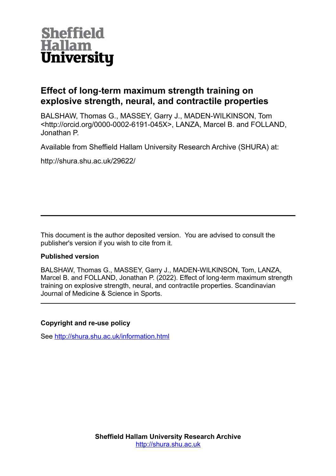

# **Effect of long-term maximum strength training on explosive strength, neural, and contractile properties**

BALSHAW, Thomas G., MASSEY, Garry J., MADEN-WILKINSON, Tom <http://orcid.org/0000-0002-6191-045X>, LANZA, Marcel B. and FOLLAND, Jonathan P.

Available from Sheffield Hallam University Research Archive (SHURA) at:

http://shura.shu.ac.uk/29622/

This document is the author deposited version. You are advised to consult the publisher's version if you wish to cite from it.

# **Published version**

BALSHAW, Thomas G., MASSEY, Garry J., MADEN-WILKINSON, Tom, LANZA, Marcel B. and FOLLAND, Jonathan P. (2022). Effect of long-term maximum strength training on explosive strength, neural, and contractile properties. Scandinavian Journal of Medicine & Science in Sports.

# **Copyright and re-use policy**

See<http://shura.shu.ac.uk/information.html>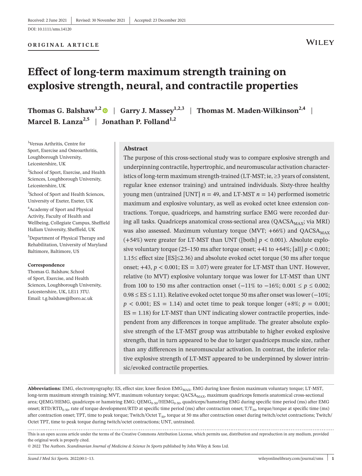#### **ORIGINAL ARTICLE**

# WILEY

# **Effect of long-term maximum strength training on explosive strength, neural, and contractile properties**

**Thomas G. Balshaw**<sup>1,2</sup> | **Garry J. Massey**<sup>1,2,3</sup> | **Thomas M. Maden-Wilkinson**<sup>2,4</sup> | **Marcel B. Lanza**<sup>2,5</sup> | **Jonathan P. Folland**<sup>1,2</sup>

1 Versus Arthritis, Centre for Sport, Exercise and Osteoarthritis, Loughborough University, Leicestershire, UK

2 School of Sport, Exercise, and Health Sciences, Loughborough University, Leicestershire, UK

3 School of Sport and Health Sciences, University of Exeter, Exeter, UK

4 Academy of Sport and Physical Activity, Faculty of Health and Wellbeing, Collegiate Campus, Sheffield Hallam University, Sheffield, UK

5 Department of Physical Therapy and Rehabilitation, University of Maryland Baltimore, Baltimore, US

#### **Correspondence**

Thomas G. Balshaw, School of Sport, Exercise, and Health Sciences, Loughborough University, Leicestershire, UK, LE11 3TU. Email: [t.g.balshaw@lboro.ac.uk](mailto:t.g.balshaw@lboro.ac.uk)

#### **Abstract**

The purpose of this cross-sectional study was to compare explosive strength and underpinning contractile, hypertrophic, and neuromuscular activation characteristics of long-term maximum strength-trained (LT-MST; ie, ≥3 years of consistent, regular knee extensor training) and untrained individuals. Sixty-three healthy young men (untrained [UNT]  $n = 49$ , and LT-MST  $n = 14$ ) performed isometric maximum and explosive voluntary, as well as evoked octet knee extension contractions. Torque, quadriceps, and hamstring surface EMG were recorded during all tasks. Quadriceps anatomical cross-sectional area  $(QACSA_{MAX};$  via MRI) was also assessed. Maximum voluntary torque (MVT; +66%) and  $QACSA_{MAX}$ (+54%) were greater for LT-MST than UNT ([both]  $p < 0.001$ ). Absolute explosive voluntary torque (25–150 ms after torque onset;  $+41$  to  $+64\%$ ; [all]  $p < 0.001$ ; 1.15≤ effect size [ES]≤2.36) and absolute evoked octet torque (50 ms after torque onset;  $+43$ ,  $p < 0.001$ ; ES = 3.07) were greater for LT-MST than UNT. However, relative (to MVT) explosive voluntary torque was lower for LT-MST than UNT from 100 to 150 ms after contraction onset (−11% to −16%; 0.001 ≤ *p* ≤ 0.002; 0.98 ≤ ES ≤ 1.11). Relative evoked octet torque 50 ms after onset was lower (−10%;  $p < 0.001$ ; ES = 1.14) and octet time to peak torque longer (+8%;  $p = 0.001$ ;  $ES = 1.18$ ) for LT-MST than UNT indicating slower contractile properties, independent from any differences in torque amplitude. The greater absolute explosive strength of the LT-MST group was attributable to higher evoked explosive strength, that in turn appeared to be due to larger quadriceps muscle size, rather than any differences in neuromuscular activation. In contrast, the inferior relative explosive strength of LT-MST appeared to be underpinned by slower intrinsic/evoked contractile properties.

Abbreviations: EMG, electromyography; ES, effect size; knee flexion EMG<sub>MAX</sub>, EMG during knee flexion maximum voluntary torque; LT-MST, long-term maximum strength training; MVT, maximum voluntary torque; QACSA<sub>MAX</sub>, maximum quadriceps femoris anatomical cross-sectional area; QEMG/HEMG, quadriceps or hamstring EMG; QEMG<sub>0-50</sub>/HEMG<sub>0-50</sub>, quadriceps/hamstring EMG during specific time period (ms) after EMG onset;  $RTD/RTD_{0-50}$ , rate of torque development/RTD at specific time period (ms) after contraction onset;  $T/T_{50}$ , torque/torque at specific time (ms) after contraction onset; TPT, time to peak torque; Twitch/Octet T<sub>50</sub>, torque at 50 ms after contraction onset during twitch/octet contractions; Twitch/ Octet TPT, time to peak torque during twitch/octet contractions; UNT, untrained.

This is an open access article under the terms of the [Creative Commons Attribution](http://creativecommons.org/licenses/by/4.0/) License, which permits use, distribution and reproduction in any medium, provided the original work is properly cited.

© 2022 The Authors. *Scandinavian Journal of Medicine & Science In Sports* published by John Wiley & Sons Ltd.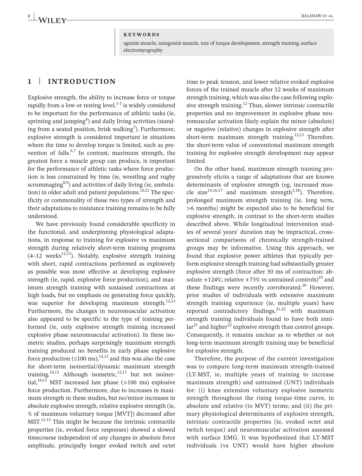#### **KEYWORDS**

agonist muscle, antagonist muscle, rate of torque development, strength training, surface electromyography

#### **1** | **INTRODUCTION**

Explosive strength, the ability to increase force or torque rapidly from a low or resting level, $1-3$  is widely considered to be important for the performance of athletic tasks (ie, sprinting and jumping $^4$ ) and daily living activities (standing from a seated position, brisk walking<sup>5</sup>). Furthermore, explosive strength is considered important in situations where the time to develop torque is limited, such as prevention of falls. $6,7$  In contrast, maximum strength, the greatest force a muscle group can produce, is important for the performance of athletic tasks where force production is less constrained by time (ie, wrestling and rugby scrummaging $8,9$ ) and activities of daily living (ie, ambulation) in older adult and patient populations. $10,11$  The specificity or commonality of these two types of strength and their adaptations to resistance training remains to be fully understood.

We have previously found considerable specificity in the functional, and underpinning physiological adaptations, in response to training for explosive vs maximum strength during relatively short-term training programs  $(4-12$  weeks<sup>12,13</sup>). Notably, explosive strength training with short, rapid contractions performed as explosively as possible was most effective at developing explosive strength (ie, rapid, explosive force production), and maximum strength training with sustained contractions at high loads, but no emphasis on generating force quickly, was superior for developing maximum strength. $^{12,13}$ Furthermore, the changes in neuromuscular activation also appeared to be specific to the type of training performed (ie, only explosive strength training increased explosive phase neuromuscular activation). In these isometric studies, perhaps surprisingly maximum strength training produced no benefits in early phase explosive force production  $(\leq 100 \text{ ms})$ ,<sup>12,13</sup> and this was also the case for short-term isoinertial/dynamic maximum strength training.<sup>14,15</sup> Although isometric,<sup>12,13</sup> but not isoinertial,<sup>14,15</sup> MST increased late phase  $(>100 \text{ ms})$  explosive force production. Furthermore, due to increases in maximum strength in these studies, but no/minor increases in absolute explosive strength, relative explosive strength (ie, % of maximum voluntary torque [MVT]) decreased after MST.<sup>12-15</sup> This might be because the intrinsic contractile properties (ie, evoked force responses) showed a slowed timecourse independent of any changes in absolute force amplitude, principally longer evoked twitch and octet

time to peak tension, and lower relative evoked explosive forces of the trained muscle after 12 weeks of maximum strength training, which was also the case following explosive strength training. $12$  Thus, slower intrinsic contractile properties and no improvement in explosive phase neuromuscular activation likely explain the minor (absolute) or negative (relative) changes in explosive strength after short-term maximum strength training.<sup>12,13</sup> Therefore, the short-term value of conventional maximum strength training for explosive strength development may appear limited.

On the other hand, maximum strength training progressively elicits a range of adaptations that are known determinants of explosive strength (eg, increased muscle size $14,16,17$  and maximum strength<sup>3,18</sup>). Therefore, prolonged maximum strength training (ie, long term, >6 months) might be expected also to be beneficial for explosive strength, in contrast to the short-term studies described above. While longitudinal intervention studies of several years' duration may be impractical, crosssectional comparisons of chronically strength-trained groups may be informative. Using this approach, we found that explosive power athletes that typically perform explosive strength training had substantially greater explosive strength (force after 50 ms of contraction: absolute  $+124\%$ ; relative  $+73\%$  vs untrained controls)<sup>19</sup> and these findings were recently corroborated. $20$  However, prior studies of individuals with extensive maximum strength training experience (ie, multiple years) have reported contradictory findings, $2^{1,22}$  with maximum strength training individuals found to have both simi- $\ar{2}$  and higher<sup>22</sup> explosive strength than control groups. Consequently, it remains unclear as to whether or not long-term maximum strength training may be beneficial for explosive strength.

Therefore, the purpose of the current investigation was to compare long-term maximum strength-trained (LT-MST, ie, multiple years of training to increase maximum strength) and untrained (UNT) individuals for: (i) knee extension voluntary explosive isometric strength throughout the rising torque-time curve, in absolute and relative (to MVT) terms; and (ii) the primary physiological determinants of explosive strength, intrinsic contractile properties (ie, evoked octet and twitch torque) and neuromuscular activation assessed with surface EMG. It was hypothesized that LT-MST individuals (vs UNT) would have higher absolute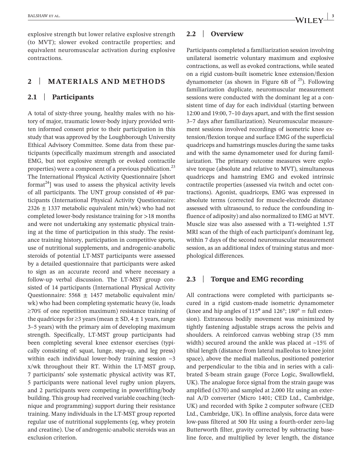explosive strength but lower relative explosive strength (to MVT); slower evoked contractile properties; and equivalent neuromuscular activation during explosive contractions.

# **2** | **MATERIALS AND METHODS**

#### **2.1** | **Participants**

A total of sixty-three young, healthy males with no history of major, traumatic lower-body injury provided written informed consent prior to their participation in this study that was approved by the Loughborough University Ethical Advisory Committee. Some data from these participants (specifically maximum strength and associated EMG, but not explosive strength or evoked contractile properties) were a component of a previous publication.<sup>23</sup> The International Physical Activity Questionnaire [short format<sup>24</sup> was used to assess the physical activity levels of all participants. The UNT group consisted of 49 participants (International Physical Activity Questionnaire:  $2326 \pm 1337$  metabolic equivalent min/wk) who had not completed lower-body resistance training for >18 months and were not undertaking any systematic physical training at the time of participation in this study. The resistance training history, participation in competitive sports, use of nutritional supplements, and androgenic-anabolic steroids of potential LT-MST participants were assessed by a detailed questionnaire that participants were asked to sign as an accurate record and where necessary a follow-up verbal discussion. The LT-MST group consisted of 14 participants (International Physical Activity Questionnaire:  $5568 \pm 1457$  metabolic equivalent min/ wk) who had been completing systematic heavy (ie, loads ≥70% of one repetition maximum) resistance training of the quadriceps for  $\geq$ 3 years (mean  $\pm$  SD, 4  $\pm$  1 years, range 3–5 years) with the primary aim of developing maximum strength. Specifically, LT-MST group participants had been completing several knee extensor exercises (typically consisting of: squat, lunge, step-up, and leg press) within each individual lower-body training session ~3 x/wk throughout their RT. Within the LT-MST group, 7 participants' sole systematic physical activity was RT, 5 participants were national level rugby union players, and 2 participants were competing in powerlifting/body building. This group had received variable coaching (technique and programming) support during their resistance training. Many individuals in the LT-MST group reported regular use of nutritional supplements (eg, whey protein and creatine). Use of androgenic-anabolic steroids was an exclusion criterion.

## **2.2** | **Overview**

Participants completed a familiarization session involving unilateral isometric voluntary maximum and explosive contractions, as well as evoked contractions, while seated on a rigid custom-built isometric knee extension/flexion dynamometer (as shown in Figure 6B of  $^{25}$ ). Following familiarization duplicate, neuromuscular measurement sessions were conducted with the dominant leg at a consistent time of day for each individual (starting between 12:00 and 19:00, 7–10 days apart, and with the first session 3–7 days after familiarization). Neuromuscular measurement sessions involved recordings of isometric knee extension/flexion torque and surface EMG of the superficial quadriceps and hamstrings muscles during the same tasks and with the same dynamometer used for during familiarization. The primary outcome measures were explosive torque (absolute and relative to MVT), simultaneous quadriceps and hamstring EMG and evoked intrinsic contractile properties (assessed via twitch and octet contractions). Agonist, quadriceps, EMG was expressed in absolute terms (corrected for muscle-electrode distance assessed with ultrasound, to reduce the confounding influence of adiposity) and also normalized to EMG at MVT. Muscle size was also assessed with a T1-weighted 1.5T MRI scan of the thigh of each participant's dominant leg, within 7 days of the second neuromuscular measurement session, as an additional index of training status and morphological differences.

### **2.3** | **Torque and EMG recording**

All contractions were completed with participants secured in a rigid custom-made isometric dynamometer (knee and hip angles of 115**°** and 126°; 180° = full extension). Extraneous bodily movement was minimized by tightly fastening adjustable straps across the pelvis and shoulders. A reinforced canvas webbing strap (35 mm width) secured around the ankle was placed at ~15% of tibial length (distance from lateral malleolus to knee joint space), above the medial malleolus, positioned posterior and perpendicular to the tibia and in series with a calibrated S-beam strain gauge (Force Logic, Swallowfield, UK). The analogue force signal from the strain gauge was amplified (x370) and sampled at 2,000 Hz using an external A/D converter (Micro 1401; CED Ltd., Cambridge, UK) and recorded with Spike 2 computer software (CED Ltd., Cambridge, UK). In offline analysis, force data were low-pass filtered at 500 Hz using a fourth-order zero-lag Butterworth filter, gravity corrected by subtracting baseline force, and multiplied by lever length, the distance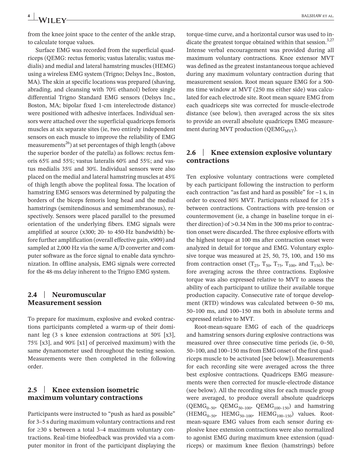from the knee joint space to the center of the ankle strap, to calculate torque values.

Surface EMG was recorded from the superficial quadriceps (QEMG: rectus femoris; vastus lateralis; vastus medialis) and medial and lateral hamstring muscles (HEMG) using a wireless EMG system (Trigno; Delsys Inc., Boston, MA). The skin at specific locations was prepared (shaving, abrading, and cleansing with 70% ethanol) before single differential Trigno Standard EMG sensors (Delsys Inc., Boston, MA; bipolar fixed 1-cm interelectrode distance) were positioned with adhesive interfaces. Individual sensors were attached over the superficial quadriceps femoris muscles at six separate sites (ie, two entirely independent sensors on each muscle to improve the reliability of EMG measurements<sup>26</sup>) at set percentages of thigh length (above the superior border of the patella) as follows: rectus femoris 65% and 55%; vastus lateralis 60% and 55%; and vastus medialis 35% and 30%. Individual sensors were also placed on the medial and lateral hamstring muscles at 45% of thigh length above the popliteal fossa. The location of hamstring EMG sensors was determined by palpating the borders of the biceps femoris long head and the medial hamstrings (semitendinosus and semimembranosus), respectively. Sensors were placed parallel to the presumed orientation of the underlying fibers. EMG signals were amplified at source (x300; 20- to 450-Hz bandwidth) before further amplification (overall effective gain, x909) and sampled at 2,000 Hz via the same A/D converter and computer software as the force signal to enable data synchronization. In offline analysis, EMG signals were corrected for the 48-ms delay inherent to the Trigno EMG system.

### **2.4** | **Neuromuscular Measurement session**

To prepare for maximum, explosive and evoked contractions participants completed a warm-up of their dominant leg (3 s knee extension contractions at 50% [x3], 75% [x3], and 90% [x1] of perceived maximum) with the same dynamometer used throughout the testing session. Measurements were then completed in the following order.

# **2.5** | **Knee extension isometric maximum voluntary contractions**

Participants were instructed to "push as hard as possible" for 3–5 s during maximum voluntary contractions and rest for ≥30 s between a total 3–4 maximum voluntary contractions. Real-time biofeedback was provided via a computer monitor in front of the participant displaying the

torque-time curve, and a horizontal cursor was used to indicate the greatest torque obtained within that session.<sup>3,27</sup> Intense verbal encouragement was provided during all maximum voluntary contractions. Knee extensor MVT was defined as the greatest instantaneous torque achieved during any maximum voluntary contraction during that measurement session. Root mean square EMG for a 500 ms time window at MVT (250 ms either side) was calculated for each electrode site. Root mean square EMG from each quadriceps site was corrected for muscle-electrode distance (see below), then averaged across the six sites to provide an overall absolute quadriceps EMG measurement during MVT production ( $QEMG<sub>MVT</sub>$ ).

## **2.6** | **Knee extension explosive voluntary contractions**

Ten explosive voluntary contractions were completed by each participant following the instruction to perform each contraction "as fast and hard as possible" for ~1 s, in order to exceed 80% MVT. Participants relaxed for ≥15 s between contractions. Contractions with pre-tension or countermovement (ie, a change in baseline torque in either direction) of >0.34 Nm in the 300 ms prior to contraction onset were discarded. The three explosive efforts with the highest torque at 100 ms after contraction onset were analyzed in detail for torque and EMG. Voluntary explosive torque was measured at 25, 50, 75, 100, and 150 ms from contraction onset ( $T_{25}$ ,  $T_{50}$ ,  $T_{75}$ ,  $T_{100}$ , and  $T_{150}$ ), before averaging across the three contractions. Explosive torque was also expressed relative to MVT to assess the ability of each participant to utilize their available torque production capacity. Consecutive rate of torque development (RTD) windows was calculated between 0–50 ms, 50–100 ms, and 100–150 ms both in absolute terms and expressed relative to MVT.

Root-mean-square EMG of each of the quadriceps and hamstring sensors during explosive contractions was measured over three consecutive time periods (ie, 0–50, 50–100, and 100–150 ms from EMG onset of the first quadriceps muscle to be activated [see below]). Measurements for each recording site were averaged across the three best explosive contractions. Quadriceps EMG measurements were then corrected for muscle-electrode distance (see below). All the recording sites for each muscle group were averaged, to produce overall absolute quadriceps  $(QEMG_{0-50}, QEMG_{50-100}, QEMG_{100-150})$  and hamstring  $(HEMG_{0-50}$ ,  $HEMG_{50-100}$ ,  $HEMG_{100-150}$ ) values. Rootmean-square EMG values from each sensor during explosive knee extension contractions were also normalized to agonist EMG during maximum knee extension (quadriceps) or maximum knee flexion (hamstrings) before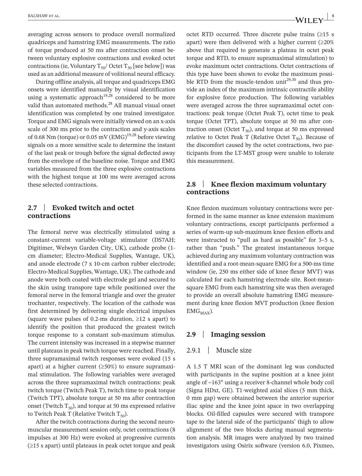averaging across sensors to produce overall normalized quadriceps and hamstring EMG measurements. The ratio of torque produced at 50 ms after contraction onset between voluntary explosive contractions and evoked octet contractions (ie, Voluntary  $T_{50}$ / Octet  $T_{50}$  [see below]) was used as an additional measure of volitional neural efficacy.

During offline analysis, all torque and quadriceps EMG onsets were identified manually by visual identification using a systematic approach<sup>19,28</sup> considered to be more valid than automated methods.<sup>28</sup> All manual visual onset identification was completed by one trained investigator. Torque and EMG signals were initially viewed on an x-axis scale of 300 ms prior to the contraction and y-axis scales of 0.68 Nm (torque) or 0.05 mV  $(EMG)^{19,28}$  before viewing signals on a more sensitive scale to determine the instant of the last peak or trough before the signal deflected away from the envelope of the baseline noise. Torque and EMG variables measured from the three explosive contractions with the highest torque at 100 ms were averaged across these selected contractions.

# **2.7** | **Evoked twitch and octet contractions**

The femoral nerve was electrically stimulated using a constant-current variable-voltage stimulator (DS7AH; Digitimer, Welwyn Garden City, UK), cathode probe (1 cm diameter; Electro-Medical Supplies, Wantage, UK), and anode electrode (7 x 10-cm carbon rubber electrode; Electro-Medical Supplies, Wantage, UK). The cathode and anode were both coated with electrode gel and secured to the skin using transpore tape while positioned over the femoral nerve in the femoral triangle and over the greater trochanter, respectively. The location of the cathode was first determined by delivering single electrical impulses (square wave pulses of 0.2-ms duration,  $\geq 12$  s apart) to identify the position that produced the greatest twitch torque response to a constant sub-maximum stimulus. The current intensity was increased in a stepwise manner until plateaus in peak twitch torque were reached. Finally, three supramaximal twitch responses were evoked (15 s apart) at a higher current ( $\geq$ 50%) to ensure supramaximal stimulation. The following variables were averaged across the three supramaximal twitch contractions: peak twitch torque (Twitch Peak T), twitch time to peak torque (Twitch TPT), absolute torque at 50 ms after contraction onset (Twitch  $T_{50}$ ), and torque at 50 ms expressed relative to Twitch Peak T (Relative Twitch  $T_{50}$ ).

After the twitch contractions during the second neuromuscular measurement session only, octet contractions (8 impulses at 300 Hz) were evoked at progressive currents  $(\geq 15$  s apart) until plateaus in peak octet torque and peak octet RTD occurred. Three discrete pulse trains  $(≥15$  s apart) were then delivered with a higher current ( $\geq 20\%$ above that required to generate a plateau in octet peak torque and RTD, to ensure supramaximal stimulation) to evoke maximum octet contractions. Octet contractions of this type have been shown to evoke the maximum possible RTD from the muscle-tendon unit $29,30$  and thus provide an index of the maximum intrinsic contractile ability for explosive force production. The following variables were averaged across the three supramaximal octet contractions: peak torque (Octet Peak T), octet time to peak torque (Octet TPT), absolute torque at 50 ms after contraction onset (Octet  $T_{50}$ ), and torque at 50 ms expressed relative to Octet Peak T (Relative Octet  $T_{50}$ ). Because of the discomfort caused by the octet contractions, two participants from the LT-MST group were unable to tolerate this measurement.

# **2.8** | **Knee flexion maximum voluntary contractions**

Knee flexion maximum voluntary contractions were performed in the same manner as knee extension maximum voluntary contractions, except participants performed a series of warm-up sub-maximum knee flexion efforts and were instructed to "pull as hard as possible" for 3–5 s, rather than "push." The greatest instantaneous torque achieved during any maximum voluntary contraction was identified and a root-mean-square EMG for a 500-ms time window (ie, 250 ms either side of knee flexor MVT) was calculated for each hamstring electrode site. Root-meansquare EMG from each hamstring site was then averaged to provide an overall absolute hamstring EMG measurement during knee flexion MVT production (knee flexion  $EMG_{MAX}$ ).

#### **2.9** | **Imaging session**

#### 2.9.1 | Muscle size

A 1.5 T MRI scan of the dominant leg was conducted with participants in the supine position at a knee joint angle of ~163° using a receiver 8-channel whole body coil (Signa HDxt, GE). T1-weighted axial slices (5 mm thick, 0 mm gap) were obtained between the anterior superior iliac spine and the knee joint space in two overlapping blocks. Oil-filled capsules were secured with transpore tape to the lateral side of the participants' thigh to allow alignment of the two blocks during manual segmentation analysis. MR images were analyzed by two trained investigators using Osirix software (version 6.0, Pixmeo,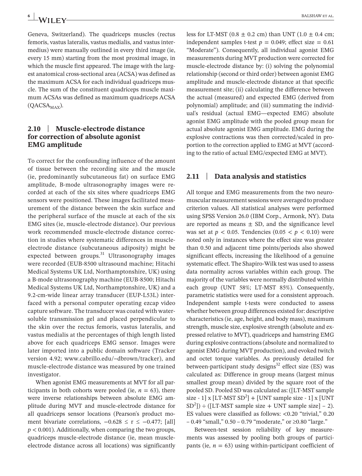Geneva, Switzerland). The quadriceps muscles (rectus femoris, vastus lateralis, vastus medialis, and vastus intermedius) were manually outlined in every third image (ie, every 15 mm) starting from the most proximal image, in which the muscle first appeared. The image with the largest anatomical cross-sectional area (ACSA) was defined as the maximum ACSA for each individual quadriceps muscle. The sum of the constituent quadriceps muscle maximum ACSAs was defined as maximum quadriceps ACSA  $(QACSA_{MAX})$ .

# **2.10** | **Muscle-electrode distance for correction of absolute agonist EMG amplitude**

To correct for the confounding influence of the amount of tissue between the recording site and the muscle (ie, predominantly subcutaneous fat) on surface EMG amplitude, B-mode ultrasonography images were recorded at each of the six sites where quadriceps EMG sensors were positioned. These images facilitated measurement of the distance between the skin surface and the peripheral surface of the muscle at each of the six EMG sites (ie, muscle-electrode distance). Our previous work recommended muscle-electrode distance correction in studies where systematic differences in muscleelectrode distance (subcutaneous adiposity) might be expected between groups. $31$  Ultrasonography images were recorded (EUB-8500 ultrasound machine; Hitachi Medical Systems UK Ltd, Northamptonshire, UK) using a B-mode ultrasonography machine (EUB-8500; Hitachi Medical Systems UK Ltd, Northamptonshire, UK) and a 9.2-cm-wide linear array transducer (EUP-L53L) interfaced with a personal computer operating ezcap video capture software. The transducer was coated with watersoluble transmission gel and placed perpendicular to the skin over the rectus femoris, vastus lateralis, and vastus medialis at the percentages of thigh length listed above for each quadriceps EMG sensor. Images were later imported into a public domain software (Tracker version 4.92; [www.cabrillo.edu/~dbrown/tracker](http://www.cabrillo.edu/%7Edbrown/tracker)), and muscle-electrode distance was measured by one trained investigator.

When agonist EMG measurements at MVT for all participants in both cohorts were pooled (ie,  $n = 63$ ), there were inverse relationships between absolute EMG amplitude during MVT and muscle-electrode distance for all quadriceps sensor locations (Pearson's product moment bivariate correlations,  $-0.628 \le r \le -0.477$ ; [all] *p* < 0.001). Additionally, when comparing the two groups, quadriceps muscle-electrode distance (ie, mean muscleelectrode distance across all locations) was significantly less for LT-MST (0.8  $\pm$  0.2 cm) than UNT (1.0  $\pm$  0.4 cm; independent samples t-test  $p = 0.049$ ; effect size =  $0.61$ "Moderate"). Consequently, all individual agonist EMG measurements during MVT production were corrected for muscle-electrode distance by: (i) solving the polynomial relationship (second or third order) between agonist EMG amplitude and muscle-electrode distance at that specific measurement site; (ii) calculating the difference between the actual (measured) and expected EMG (derived from polynomial) amplitude; and (iii) summating the individual's residual (actual EMG—expected EMG) absolute agonist EMG amplitude with the pooled group mean for actual absolute agonist EMG amplitude. EMG during the explosive contractions was then corrected/scaled in proportion to the correction applied to EMG at MVT (according to the ratio of actual EMG/expected EMG at MVT).

#### **2.11** | **Data analysis and statistics**

All torque and EMG measurements from the two neuromuscular measurement sessions were averaged to produce criterion values. All statistical analyses were performed using SPSS Version 26.0 (IBM Corp., Armonk, NY). Data are reported as means  $\pm$  SD, and the significance level was set at  $p < 0.05$ . Tendencies  $(0.05 < p < 0.10)$  were noted only in instances where the effect size was greater than 0.50 and adjacent time points/periods also showed significant effects, increasing the likelihood of a genuine systematic effect. The Shapiro-Wilk test was used to assess data normality across variables within each group. The majority of the variables were normally distributed within each group (UNT 58%; LT-MST 85%). Consequently, parametric statistics were used for a consistent approach. Independent sample t-tests were conducted to assess whether between group differences existed for: descriptive characteristics (ie, age, height, and body mass), maximum strength, muscle size, explosive strength (absolute and expressed relative to MVT), quadriceps and hamstring EMG during explosive contractions (absolute and normalized to agonist EMG during MVT production), and evoked twitch and octet torque variables. As previously detailed for between-participant study designs<sup>32</sup> effect size (ES) was calculated as: Difference in group means (largest minus smallest group mean) divided by the square root of the pooled SD. Pooled SD was calculated as: ([LT-MST sample size - 1]  $x$  [LT-MST  $SD^2$ ] + [UNT sample size - 1]  $x$  [UNT  $SD<sup>2</sup>]$ ) ÷ ([LT-MST sample size + UNT sample size] – 2). ES values were classified as follows: <0.20 "trivial," 0.20 – 0.49 "small," 0.50 – 0.79 "moderate," or ≥0.80 "large."

Between-test session reliability of key measurements was assessed by pooling both groups of participants (ie,  $n = 63$ ) using within-participant coefficient of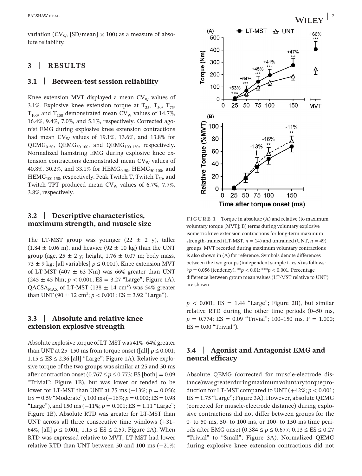variation (CV<sub>W</sub>, [SD/mean]  $\times$  100) as a measure of absolute reliability.

## **3** | **RESULTS**

#### **3.1** | **Between-test session reliability**

Knee extension MVT displayed a mean  $CV<sub>W</sub>$  values of 3.1%. Explosive knee extension torque at  $T_{25}$ ,  $T_{50}$ ,  $T_{75}$ ,  $T_{100}$ , and  $T_{150}$  demonstrated mean CV<sub>W</sub> values of 14.7%, 16.4%, 9.4%, 7.0%, and 5.1%, respectively. Corrected agonist EMG during explosive knee extension contractions had mean  $CV_w$  values of 19.1%, 13.6%, and 13.8% for QEMG<sub>0-50</sub>, QEMG<sub>50-100</sub>, and QEMG<sub>100-150</sub>, respectively. Normalized hamstring EMG during explosive knee extension contractions demonstrated mean  $CV_w$  values of 40.8%, 30.2%, and 33.1% for  $HEMG_{0-50}$ , HEMG<sub>50-100</sub>, and HEMG<sub>100-150</sub>, respectively. Peak Twitch T, Twitch  $T_{50}$ , and Twitch TPT produced mean  $CV_w$  values of 6.7%, 7.7%, 3.8%, respectively.

#### **3.2** | **Descriptive characteristics, maximum strength, and muscle size**

The LT-MST group was younger  $(22 \pm 2 \text{ y})$ , taller  $(1.84 \pm 0.06 \text{ m})$ , and heavier  $(92 \pm 10 \text{ kg})$  than the UNT group (age,  $25 \pm 2$  y; height,  $1.76 \pm 0.07$  m; body mass, 73  $\pm$  9 kg; [all variables]  $p \le 0.001$ ). Knee extension MVT of LT-MST (407  $\pm$  63 Nm) was 66% greater than UNT  $(245 \pm 45 \text{ Nm}; p < 0.001; \text{ES} = 3.27 \text{ "Large"; }$  Figure 1A). QACSA<sub>MAX</sub> of LT-MST (138  $\pm$  14 cm<sup>2</sup>) was 54% greater than UNT (90  $\pm$  12 cm<sup>2</sup>; *p* < 0.001; ES = 3.92 "Large").

# **3.3** | **Absolute and relative knee extension explosive strength**

Absolute explosive torque of LT-MST was 41%–64% greater than UNT at 25–150 ms from torque onset ([all]  $p \le 0.001$ ;  $1.15 \leq ES \leq 2.36$  [all] "Large"; Figure 1A). Relative explosive torque of the two groups was similar at 25 and 50 ms after contraction onset  $(0.767 \le p \le 0.773; ES$  [both] = 0.09 "Trivial"; Figure 1B), but was lower or tended to be lower for LT-MST than UNT at 75 ms (−13%; *p* = 0.056; ES = 0.59 "Moderate"), 100 ms (−16%; *p* = 0.002; ES = 0.98 "Large"), and 150 ms (−11%; *p* = 0.001; ES = 1.11 "Large"; Figure 1B). Absolute RTD was greater for LT-MST than UNT across all three consecutive time windows (+31– 64%; [all]  $p \le 0.001$ ;  $1.15 \le ES \le 2.59$ ; Figure 2A). When RTD was expressed relative to MVT, LT-MST had lower relative RTD than UNT between 50 and 100 ms (−21%;



150

-16%

 $-13%$ 

25 50 75 100

Time after torque onset (ms)

 $(A)$ 

Torque (Nm)

500

400

300

200

100

 $(B)$ 

100

80

60

40

20

 $\mathbf 0$ 

0

Relative Torque (%MVT)

 $\Omega$ 

 $\Omega$ 

**FIGURE 1** Torque in absolute (A) and relative (to maximum voluntary torque [MVT]; B) terms during voluntary explosive isometric knee extension contractions for long-term maximum strength-trained (LT-MST,  $n = 14$ ) and untrained (UNT,  $n = 49$ ) groups. MVT recorded during maximum voluntary contractions is also shown in (A) for reference. Symbols denote differences between the two groups (independent sample t-tests) as follows: †*p* = 0.056 (tendency), \*\**p* < 0.01; \*\*\**p* < 0.001. Percentage difference between group mean values (LT-MST relative to UNT) are shown

 $p \le 0.001$ ; ES = 1.44 "Large"; Figure 2B), but similar relative RTD during the other time periods (0–50 ms,  $p = 0.774$ ; ES = 0.09 "Trivial"; 100-150 ms, P = 1.000;  $ES = 0.00$  "Trivial").

## **3.4** | **Agonist and Antagonist EMG and neural efficacy**

Absolute QEMG (corrected for muscle-electrode distance) was greater during maximum voluntary torque production for LT-MST compared to UNT  $(+42\%; p < 0.001;$ ES = 1.75 "Large"; Figure 3A). However, absolute QEMG (corrected for muscle-electrode distance) during explosive contractions did not differ between groups for the 0- to 50-ms, 50- to 100-ms, or 100- to 150-ms time periods after EMG onset (0.384 ≤ *p* ≤ 0.677; 0.13 ≤ ES ≤ 0.27 "Trivial" to "Small"; Figure 3A). Normalized QEMG during explosive knee extension contractions did not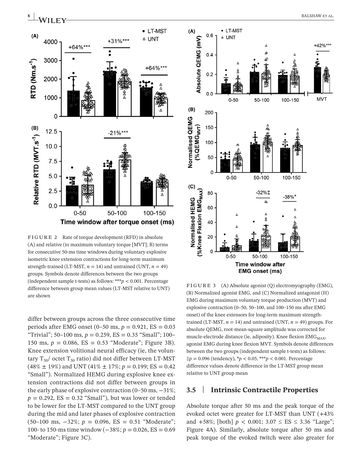

**FIGURE 2** Rate of torque development (RFD) in absolute (A) and relative (to maximum voluntary torque [MVT]; B) terms for consecutive 50-ms time windows during voluntary explosive isometric knee extension contractions for long-term maximum strength-trained (LT-MST,  $n = 14$ ) and untrained (UNT,  $n = 49$ ) groups. Symbols denote differences between the two groups (independent sample t-tests) as follows: \*\*\**p* < 0.001. Percentage difference between group mean values (LT-MST relative to UNT) are shown

differ between groups across the three consecutive time periods after EMG onset (0–50 ms, *p* = 0.921, ES = 0.03 "Trivial"; 50–100 ms,  $p = 0.259$ , ES = 0.35 "Small"; 100– 150 ms,  $p = 0.086$ ,  $ES = 0.53$  "Moderate"; Figure 3B). Knee extension volitional neural efficacy (ie, the voluntary  $T_{50}$  octet  $T_{50}$  ratio) did not differ between LT-MST  $(48\% \pm 19\%)$  and UNT  $(41\% \pm 17\%)$ ;  $p = 0.199$ ; ES = 0.42 "Small"). Normalized HEMG during explosive knee extension contractions did not differ between groups in the early phase of explosive contraction (0–50 ms, −31%;  $p = 0.292$ ,  $ES = 0.32$  "Small"), but was lower or tended to be lower for the LT-MST compared to the UNT group during the mid and later phases of explosive contraction  $(50-100 \text{ ms}, -32\%; p = 0.096, ES = 0.51 \text{ "Modernate"};$ 100- to 150-ms time window (−38%; *p* = 0.026, ES = 0.69 "Moderate"; Figure 3C).



**FIGURE 3** (A) Absolute agonist (Q) electromyography (EMG), (B) Normalized agonist EMG, and (C) Normalized antagonist (H) EMG during maximum voluntary torque production (MVT) and explosive contraction (0–50, 50–100, and 100–150 ms after EMG onset) of the knee extensors for long-term maximum strengthtrained (LT-MST,  $n = 14$ ) and untrained (UNT,  $n = 49$ ) groups. For absolute QEMG, root-mean-square amplitude was corrected for muscle-electrode distance (ie, adiposity). Knee flexion  $EMG<sub>MAX</sub>$ , agonist EMG during knee flexion MVT. Symbols denote differences between the two groups (independent sample t-tests) as follows: ‡*p* = 0.096 (tendency), \**p* < 0.05, \*\*\**p* < 0.001. Percentage difference values denote difference in the LT-MST group mean relative to UNT group mean

#### **3.5** | **Intrinsic Contractile Properties**

Absolute torque after 50 ms and the peak torque of the evoked octet were greater for LT-MST than UNT (+43% and  $+58\%$ ; [both]  $p < 0.001$ ;  $3.07 \leq ES \leq 3.36$  "Large"; Figure 4A). Similarly, absolute torque after 50 ms and peak torque of the evoked twitch were also greater for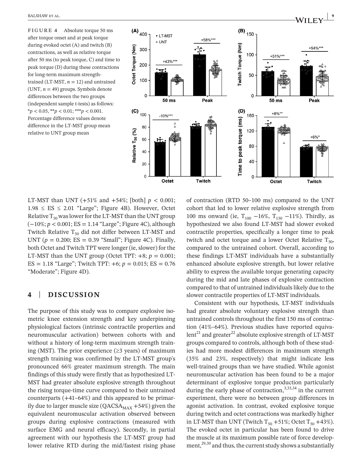**FIGURE 4** Absolute torque 50 ms after torque onset and at peak torque during evoked octet (A) and twitch (B) contractions, as well as relative torque after 50 ms (to peak torque, C) and time to peak torque (D) during these contractions for long-term maximum strengthtrained (LT-MST,  $n = 12$ ) and untrained (UNT,  $n = 49$ ) groups. Symbols denote differences between the two groups (independent sample t-tests) as follows: \**p* < 0.05, \*\**p* < 0.01; \*\*\**p* < 0.001. Percentage difference values denote difference in the LT-MST group mean relative to UNT group mean



LT-MST than UNT (+51% and +54%; [both]  $p < 0.001$ ;  $1.98 \leq ES \leq 2.01$  "Large"; Figure 4B). However, Octet Relative  $T_{50}$  was lower for the LT-MST than the UNT group (−10%; *p* < 0.001; ES = 1.14 "Large"; Figure 4C), although Twitch Relative  $T_{50}$  did not differ between LT-MST and UNT ( $p = 0.200$ ; ES = 0.39 "Small"; Figure 4C). Finally, both Octet and Twitch TPT were longer (ie, slower) for the LT-MST than the UNT group (Octet TPT:  $+8$ ;  $p = 0.001$ ; ES = 1.18 "Large"; Twitch TPT:  $+6$ ;  $p = 0.015$ ; ES = 0.76 "Moderate"; Figure 4D).

# **4** | **DISCUSSION**

The purpose of this study was to compare explosive isometric knee extension strength and key underpinning physiological factors (intrinsic contractile properties and neuromuscular activation) between cohorts with and without a history of long-term maximum strength training (MST). The prior experience  $(\geq 3 \text{ years})$  of maximum strength training was confirmed by the LT-MST group's pronounced 66% greater maximum strength. The main findings of this study were firstly that as hypothesized LT-MST had greater absolute explosive strength throughout the rising torque-time curve compared to their untrained counterparts (+41–64%) and this appeared to be primarily due to larger muscle size ( $QACSA_{MAX} +54\%)$  given the equivalent neuromuscular activation observed between groups during explosive contractions (measured with surface EMG and neural efficacy). Secondly, in partial agreement with our hypothesis the LT-MST group had lower relative RTD during the mid/fastest rising phase

of contraction (RTD 50–100 ms) compared to the UNT cohort that led to lower relative explosive strength from 100 ms onward (ie, T<sub>100</sub> −16%, T<sub>150</sub> −11%). Thirdly, as hypothesized we also found LT-MST had slower evoked contractile properties, specifically a longer time to peak twitch and octet torque and a lower Octet Relative  $T_{50}$ , compared to the untrained cohort. Overall, according to these findings LT-MST individuals have a substantially enhanced absolute explosive strength, but lower relative ability to express the available torque generating capacity during the mid and late phases of explosive contraction compared to that of untrained individuals likely due to the slower contractile properties of LT-MST individuals.

Consistent with our hypothesis, LT-MST individuals had greater absolute voluntary explosive strength than untrained controls throughout the first 150 ms of contraction (41%–64%). Previous studies have reported equiva $l$ ent<sup>21</sup> and greater<sup>22</sup> absolute explosive strength of LT-MST groups compared to controls, although both of these studies had more modest differences in maximum strength (35% and 23%, respectively) that might indicate less well-trained groups than we have studied. While agonist neuromuscular activation has been found to be a major determinant of explosive torque production particularly during the early phase of contraction,  $3,33,34$  in the current experiment, there were no between group differences in agonist activation. In contrast, evoked explosive torque during twitch and octet contractions was markedly higher in LT-MST than UNT (Twitch  $T_{50} + 51\%$ ; Octet  $T_{50} + 43\%$ ). The evoked octet in particular has been found to drive the muscle at its maximum possible rate of force development, $^{29,30}$  and thus, the current study shows a substantially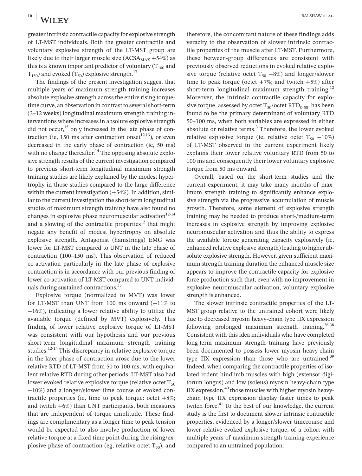greater intrinsic contractile capacity for explosive strength of LT-MST individuals. Both the greater contractile and voluntary explosive strength of the LT-MST group are likely due to their larger muscle size  $(ACSA<sub>MAX</sub> + 54%)$  as this is a known important predictor of voluntary  $(T_{100})$  and  $T_{150}$ ) and evoked ( $T_{50}$ ) explosive strength.<sup>17</sup>

The findings of the present investigation suggest that multiple years of maximum strength training increases absolute explosive strength across the entire rising torquetime curve, an observation in contrast to several short-term (3–12 weeks) longitudinal maximum strength training interventions where increases in absolute explosive strength did not occur,<sup>15</sup> only increased in the late phase of contraction (ie, 150 ms after contraction onset $^{12,13}$ ), or even decreased in the early phase of contraction (ie, 50 ms) with no change thereafter.<sup>14</sup> The opposing absolute explosive strength results of the current investigation compared to previous short-term longitudinal maximum strength training studies are likely explained by the modest hypertrophy in those studies compared to the large difference within the current investigation (+54%). In addition, similar to the current investigation the short-term longitudinal studies of maximum strength training have also found no changes in explosive phase neuromuscular activation $12-14$ and a slowing of the contractile properties $12$  that might negate any benefit of modest hypertrophy on absolute explosive strength. Antagonist (hamstrings) EMG was lower for LT-MST compared to UNT in the late phase of contraction (100–150 ms). This observation of reduced co-activation particularly in the late phase of explosive contraction is in accordance with our previous finding of lower co-activation of LT-MST compared to UNT individuals during sustained contractions.<sup>35</sup>

Explosive torque (normalized to MVT) was lower for LT-MST than UNT from 100 ms onward (−11% to −16%), indicating a lower relative ability to utilize the available torque (defined by MVT) explosively. This finding of lower relative explosive torque of LT-MST was consistent with our hypothesis and our previous short-term longitudinal maximum strength training studies.<sup>12-14</sup> This discrepancy in relative explosive torque in the later phase of contraction arose due to the lower relative RTD of LT-MST from 50 to 100 ms, with equivalent relative RTD during other periods. LT-MST also had lower evoked relative explosive torque (relative octet  $T_{50}$ ) −10%) and a longer/slower time course of evoked contractile properties (ie, time to peak torque: octet  $+8\%$ ; and twitch  $+6\%$ ) than UNT participants, both measures that are independent of torque amplitude. These findings are complimentary as a longer time to peak tension would be expected to also involve production of lower relative torque at a fixed time point during the rising/explosive phase of contraction (eg, relative octet  $T_{50}$ ), and

therefore, the concomitant nature of these findings adds veracity to the observation of slower intrinsic contractile properties of the muscle after LT-MST. Furthermore, these between-group differences are consistent with previously observed reductions in evoked relative explosive torque (relative octet  $T_{50}$  –8%) and longer/slower time to peak torque (octet  $+7\%$ ; and twitch  $+5\%$ ) after short-term longitudinal maximum strength training.<sup>12</sup> Moreover, the intrinsic contractile capacity for explosive torque, assessed by octet  $T_{50}/$ octet  $RTD_{0-50}$ , has been found to be the primary determinant of voluntary RTD 50–100 ms, when both variables are expressed in either absolute or relative terms.<sup>3</sup> Therefore, the lower evoked relative explosive torque (ie, relative octet  $T_{50}$  -10%) of LT-MST observed in the current experiment likely explains their lower relative voluntary RTD from 50 to 100 ms and consequently their lower voluntary explosive torque from 50 ms onward.

Overall, based on the short-term studies and the current experiment, it may take many months of maximum strength training to significantly enhance explosive strength via the progressive accumulation of muscle growth. Therefore, some element of explosive strength training may be needed to produce short-/medium-term increases in explosive strength by improving explosive neuromuscular activation and thus the ability to express the available torque generating capacity explosively (ie, enhanced relative explosive strength) leading to higher absolute explosive strength. However, given sufficient maximum strength training duration the enhanced muscle size appears to improve the contractile capacity for explosive force production such that, even with no improvement in explosive neuromuscular activation, voluntary explosive strength is enhanced.

The slower intrinsic contractile properties of the LT-MST group relative to the untrained cohort were likely due to decreased myosin heavy-chain type IIX expression following prolonged maximum strength training.<sup>36-38</sup> Consistent with this idea individuals who have completed long-term maximum strength training have previously been documented to possess lower myosin heavy-chain type IIX expression than those who are untrained. $39$ Indeed, when comparing the contractile properties of isolated rodent hindlimb muscles with high (extensor digitorum longus) and low (soleus) myosin heavy-chain type IIX expression, $40$  those muscles with higher myosin heavychain type IIX expression display faster times to peak twitch force.<sup>41</sup> To the best of our knowledge, the current study is the first to document slower intrinsic contractile properties, evidenced by a longer/slower timecourse and lower relative evoked explosive torque, of a cohort with multiple years of maximum strength training experience compared to an untrained population.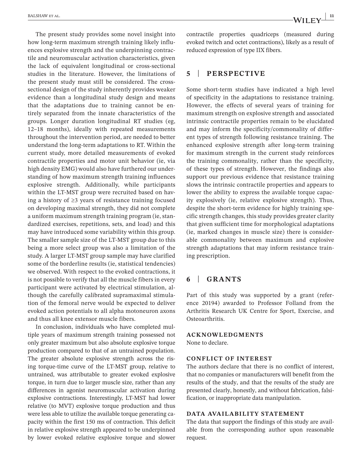The present study provides some novel insight into how long-term maximum strength training likely influences explosive strength and the underpinning contractile and neuromuscular activation characteristics, given the lack of equivalent longitudinal or cross-sectional studies in the literature. However, the limitations of the present study must still be considered. The crosssectional design of the study inherently provides weaker evidence than a longitudinal study design and means that the adaptations due to training cannot be entirely separated from the innate characteristics of the groups. Longer duration longitudinal RT studies (eg, 12–18 months), ideally with repeated measurements throughout the intervention period, are needed to better understand the long-term adaptations to RT. Within the current study, more detailed measurements of evoked contractile properties and motor unit behavior (ie, via high density EMG) would also have furthered our understanding of how maximum strength training influences explosive strength. Additionally, while participants within the LT-MST group were recruited based on having a history of ≥3 years of resistance training focused on developing maximal strength, they did not complete a uniform maximum strength training program (ie, standardized exercises, repetitions, sets, and load) and this may have introduced some variability within this group. The smaller sample size of the LT-MST group due to this being a more select group was also a limitation of the study. A larger LT-MST group sample may have clarified some of the borderline results (ie, statistical tendencies) we observed. With respect to the evoked contractions, it is not possible to verify that all the muscle fibers in every participant were activated by electrical stimulation, although the carefully calibrated supramaximal stimulation of the femoral nerve would be expected to deliver evoked action potentials to all alpha motoneuron axons and thus all knee extensor muscle fibers.

In conclusion, individuals who have completed multiple years of maximum strength training possessed not only greater maximum but also absolute explosive torque production compared to that of an untrained population. The greater absolute explosive strength across the rising torque-time curve of the LT-MST group, relative to untrained, was attributable to greater evoked explosive torque, in turn due to larger muscle size, rather than any differences in agonist neuromuscular activation during explosive contractions. Interestingly, LT-MST had lower relative (to MVT) explosive torque production and thus were less able to utilize the available torque generating capacity within the first 150 ms of contraction. This deficit in relative explosive strength appeared to be underpinned by lower evoked relative explosive torque and slower

contractile properties quadriceps (measured during evoked twitch and octet contractions), likely as a result of reduced expression of type IIX fibers.

### **5** | **PERSPECTIVE**

Some short-term studies have indicated a high level of specificity in the adaptations to resistance training. However, the effects of several years of training for maximum strength on explosive strength and associated intrinsic contractile properties remain to be elucidated and may inform the specificity/commonality of different types of strength following resistance training. The enhanced explosive strength after long-term training for maximum strength in the current study reinforces the training commonality, rather than the specificity, of these types of strength. However, the findings also support our previous evidence that resistance training slows the intrinsic contractile properties and appears to lower the ability to express the available torque capacity explosively (ie, relative explosive strength). Thus, despite the short-term evidence for highly training specific strength changes, this study provides greater clarity that given sufficient time for morphological adaptations (ie, marked changes in muscle size) there is considerable commonality between maximum and explosive strength adaptations that may inform resistance training prescription.

### **6** | **GRANTS**

Part of this study was supported by a grant (reference 20194) awarded to Professor Folland from the Arthritis Research UK Centre for Sport, Exercise, and Osteoarthritis.

#### **ACKNOWLEDGMENTS**

None to declare.

## **CONFLICT OF INTEREST**

The authors declare that there is no conflict of interest, that no companies or manufacturers will benefit from the results of the study, and that the results of the study are presented clearly, honestly, and without fabrication, falsification, or inappropriate data manipulation.

#### **DATA AVAILABILITY STATEMENT**

The data that support the findings of this study are available from the corresponding author upon reasonable request.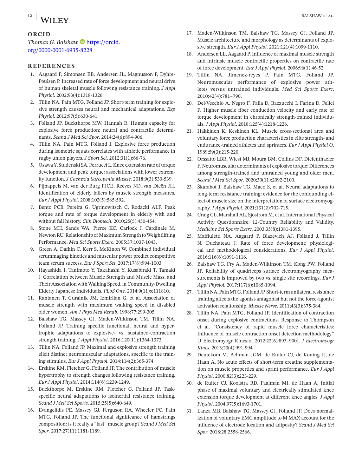# **12 | A***l***IIIC bALSHAW** ET AL.

#### **ORCID**

*Thomas G. Balshaw* **[https://orcid.](https://orcid.org/0000-0001-6935-8228)** [org/0000-0001-6935-8228](https://orcid.org/0000-0001-6935-8228)

#### **REFERENCES**

- 1. Aagaard P, Simonsen EB, Andersen JL, Magnusson P, Dyhre-Poulsen P. Increased rate of force development and neural drive of human skeletal muscle following resistance training. *J Appl Physiol*. 2002;93(4):1318-1326.
- 2. Tillin NA, Pain MTG, Folland JP. Short-term training for explosive strength causes neural and mechanical adaptations. *Exp Physiol*. 2012;97(5):630-641.
- 3. Folland JP, Buckthorpe MW, Hannah R. Human capacity for explosive force production: neural and contractile determinants. *Scand J Med Sci Spor*. 2014;24(6):894-906.
- 4. Tillin NA, Pain MTG, Folland J. Explosive force production during isometric squats correlates with athletic performance in rugby union players. *J Sport Sci*. 2012;31(1):66-76.
- 5. Osawa Y, Studenski SA, Ferrucci L. Knee extension rate of torque development and peak torque: associations with lower extremity function. *J Cachexia Sarcopenia Muscle*. 2018;9(3):530-539.
- 6. Pijnappels M, van der Burg PJCE, Reeves ND, van Dieën JH. Identification of elderly fallers by muscle strength measures. *Eur J Appl Physiol*. 2008;102(5):585-592.
- 7. Bento PCB, Pereira G, Ugrinowitsch C, Rodacki ALF. Peak torque and rate of torque development in elderly with and without fall history. *Clin Biomech*. 2010;25(5):450-454.
- 8. Stone MH, Sands WA, Pierce KC, Carlock J, Cardinale M, Newton RU. Relationship of Maximum Strength to Weightlifting Performance. *Med Sci Sports Exerc*. 2005;37:1037-1043.
- 9. Green A, Dafkin C, Kerr S, McKinon W. Combined individual scrummaging kinetics and muscular power predict competitive team scrum success. *Eur J Sport Sci*. 2017;17(8):994-1003.
- 10. Hayashida I, Tanimoto Y, Takahashi Y, Kusabiraki T, Tamaki J. Correlation between Muscle Strength and Muscle Mass, and Their Association with Walking Speed, in Community-Dwelling Elderly Japanese Individuals. *PLoS One*. 2014;9(11):e111810.
- 11. Rantanen T, Guralnik JM, Izmirlian G, et al. Association of muscle strength with maximum walking speed in disabled older women. *Am J Phys Med Rehab*. 1998;77:299-305.
- 12. Balshaw TG, Massey GJ, Maden-Wilkinson TM, Tillin NA, Folland JP. Training specific functional, neural and hypertrophic adaptations to explosive- vs. sustained-contraction strength training. *J Appl Physiol*. 2016;120(11):1364-1373.
- 13. Tillin NA, Folland JP. Maximal and explosive strength training elicit distinct neuromuscular adaptations, specific to the training stimulus. *Eur J Appl Physiol*. 2014;114(2):365-374.
- 14. Erskine RM, Fletcher G, Folland JP. The contribution of muscle hypertrophy to strength changes following resistance training. *Eur J Appl Physiol*. 2014;114(6):1239-1249.
- 15. Buckthorpe M, Erskine RM, Fletcher G, Folland JP. Taskspecific neural adaptations to isoinertial resistance training. *Scand J Med Sci Sports*. 2015;25(5):640-649.
- 16. Evangelidis PE, Massey GJ, Ferguson RA, Wheeler PC, Pain MTG, Folland JP. The functional significance of hamstrings composition: is it really a "fast" muscle group? *Scand J Med Sci Spor*. 2017;27(11):1181-1189.
- 17. Maden-Wilkinson TM, Balshaw TG, Massey GJ, Folland JP. Muscle architecture and morphology as determinants of explosive strength. *Eur J Appl Physiol*. 2021;121(4):1099-1110.
- 18. Andersen LL, Aagaard P. Influence of maximal muscle strength and intrinsic muscle contractile properties on contractile rate of force development. *Eur J Appl Physiol*. 2006;96(1):46-52.
- 19. Tillin NA, Jimenez-reyes P, Pain MTG, Folland JP. Neuromuscular performance of explosive power athletes versus untrained individuals. *Med Sci Sports Exerc*. 2010;42(4):781–790.
- 20. Del-Vecchio A, Negro F, Falla D, Bazzucchi I, Farina D, Felici F. Higher muscle fiber conduction velocity and early rate of torque development in chronically strength-trained individuals. *J Appl Physiol*. 2018;125(4):1218-1226.
- 21. Häkkinen K, Keskinen KL. Muscle cross-sectional area and voluntary force production characteristics in elite strength- and endurance-trained athletes and sprinters. *Eur J Appl Physiol O*. 1989;59(3):215-220.
- 22. Orssatto LBR, Wiest MJ, Moura BM, Collins DF, Diefenthaeler F. Neuromuscular determinants of explosive torque: Differences among strength-trained and untrained young and older men. *Scand J Med Sci Spor*. 2020;30(11):2092-2100.
- 23. Škarabot J, Balshaw TG, Maeo S, et al. Neural adaptations to long-term resistance training: evidence for the confounding effect of muscle size on the interpretation of surface electromyography. *J Appl Physiol*. 2021;131(2):702-715.
- 24. Craig CL, Marshall AL, Sjostrom M, et al. International Physical Activity Questionnaire: 12-Country Reliability and Validity. *Medicine Sci Sports Exerc*. 2003;35(8):1381-1395.
- 25. Maffiuletti NA, Aagaard P, Blazevich AJ, Folland J, Tillin N, Duchateau J. Rate of force development: physiological and methodological considerations. *Eur J Appl Physiol*. 2016;116(6):1091-1116.
- 26. Balshaw TG, Fry A, Maden-Wilkinson TM, Kong PW, Folland JP. Reliability of quadriceps surface electromyography measurements is improved by two vs. single site recordings. *Eur J Appl Physiol*. 2017;117(6):1085-1094.
- 27. Tillin NA, Pain MTG, Folland JP. Short-term unilateral resistance training affects the agonist-antagonist but not the force-agonist activation relationship. *Muscle Nerve*. 2011;43(3):375-384.
- 28. Tillin NA, Pain MTG, Folland JP. Identification of contraction onset during explosive contractions. Response to Thompson et al. "Consistency of rapid muscle force characteristics: Influence of muscle contraction onset detection methodology" [J Electromyogr Kinesiol 2012;22(6):893–900]. *J Electromyogr Kines*. 2013;23(4):991-994.
- 29. Deutekom M, Beltman JGM, de Ruiter CJ, de Koning JJ, de Haan A. No acute effects of short-term creatine supplementation on muscle properties and sprint performance. *Eur J Appl Physiol*. 2000;82(3):223-229.
- 30. de Ruiter CJ, Kooistra RD, Paalman MI, de Haan A. Initial phase of maximal voluntary and electrically stimulated knee extension torque development at different knee angles. *J Appl Physiol*. 2004;97(5):1693-1701.
- 31. Lanza MB, Balshaw TG, Massey GJ, Folland JP. Does normalization of voluntary EMG amplitude to M MAX account for the influence of electrode location and adiposity? *Scand J Med Sci Spor*. 2018;28:2558-2566.